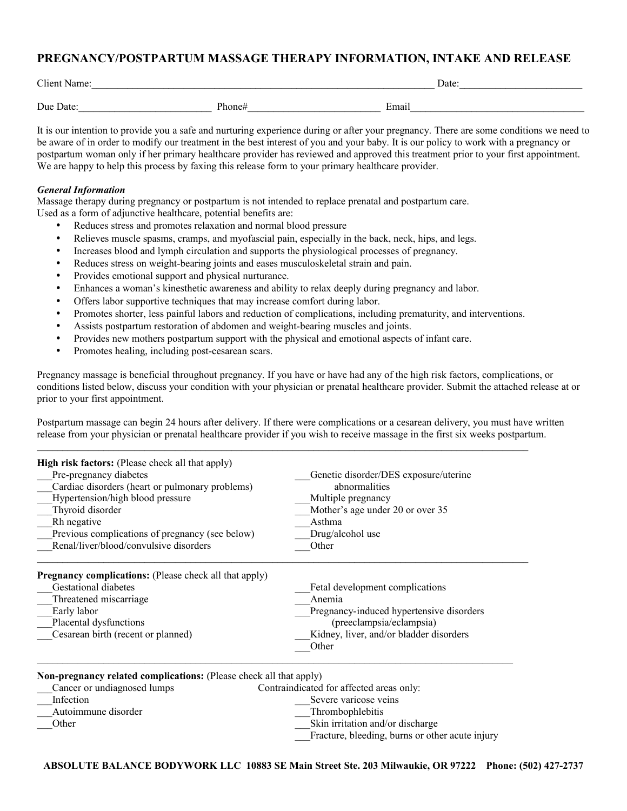## **PREGNANCY/POSTPARTUM MASSAGE THERAPY INFORMATION, INTAKE AND RELEASE**

| <b>Client Name</b> |                              | Date: |  |  |  |
|--------------------|------------------------------|-------|--|--|--|
|                    |                              |       |  |  |  |
| Due Date:          | $\mathbf{p}_{\text{hone}\#}$ | Emai  |  |  |  |

It is our intention to provide you a safe and nurturing experience during or after your pregnancy. There are some conditions we need to be aware of in order to modify our treatment in the best interest of you and your baby. It is our policy to work with a pregnancy or postpartum woman only if her primary healthcare provider has reviewed and approved this treatment prior to your first appointment. We are happy to help this process by faxing this release form to your primary healthcare provider.

## *General Information*

Massage therapy during pregnancy or postpartum is not intended to replace prenatal and postpartum care. Used as a form of adjunctive healthcare, potential benefits are:

- Reduces stress and promotes relaxation and normal blood pressure
- Relieves muscle spasms, cramps, and myofascial pain, especially in the back, neck, hips, and legs.
- Increases blood and lymph circulation and supports the physiological processes of pregnancy.
- Reduces stress on weight-bearing joints and eases musculoskeletal strain and pain.
- Provides emotional support and physical nurturance.
- Enhances a woman's kinesthetic awareness and ability to relax deeply during pregnancy and labor.
- Offers labor supportive techniques that may increase comfort during labor.
- Promotes shorter, less painful labors and reduction of complications, including prematurity, and interventions.
- Assists postpartum restoration of abdomen and weight-bearing muscles and joints.
- Provides new mothers postpartum support with the physical and emotional aspects of infant care.
- Promotes healing, including post-cesarean scars.

Pregnancy massage is beneficial throughout pregnancy. If you have or have had any of the high risk factors, complications, or conditions listed below, discuss your condition with your physician or prenatal healthcare provider. Submit the attached release at or prior to your first appointment.

Postpartum massage can begin 24 hours after delivery. If there were complications or a cesarean delivery, you must have written release from your physician or prenatal healthcare provider if you wish to receive massage in the first six weeks postpartum.

 $\mathcal{L}_\mathcal{L} = \{ \mathcal{L}_\mathcal{L} = \{ \mathcal{L}_\mathcal{L} = \{ \mathcal{L}_\mathcal{L} = \{ \mathcal{L}_\mathcal{L} = \{ \mathcal{L}_\mathcal{L} = \{ \mathcal{L}_\mathcal{L} = \{ \mathcal{L}_\mathcal{L} = \{ \mathcal{L}_\mathcal{L} = \{ \mathcal{L}_\mathcal{L} = \{ \mathcal{L}_\mathcal{L} = \{ \mathcal{L}_\mathcal{L} = \{ \mathcal{L}_\mathcal{L} = \{ \mathcal{L}_\mathcal{L} = \{ \mathcal{L}_\mathcal{$ 

| <b>High risk factors:</b> (Please check all that apply)            |                                                 |  |  |  |
|--------------------------------------------------------------------|-------------------------------------------------|--|--|--|
| Pre-pregnancy diabetes                                             | Genetic disorder/DES exposure/uterine           |  |  |  |
| Cardiac disorders (heart or pulmonary problems)                    | abnormalities                                   |  |  |  |
| Hypertension/high blood pressure                                   | Multiple pregnancy                              |  |  |  |
| Thyroid disorder                                                   | Mother's age under 20 or over 35                |  |  |  |
| Rh negative                                                        | Asthma                                          |  |  |  |
| Previous complications of pregnancy (see below)                    | Drug/alcohol use                                |  |  |  |
| Renal/liver/blood/convulsive disorders                             | Other                                           |  |  |  |
| <b>Pregnancy complications:</b> (Please check all that apply)      |                                                 |  |  |  |
| <b>Gestational diabetes</b>                                        | Fetal development complications                 |  |  |  |
| Threatened miscarriage                                             | Anemia                                          |  |  |  |
| Early labor                                                        | Pregnancy-induced hypertensive disorders        |  |  |  |
| Placental dysfunctions                                             | (preeclampsia/eclampsia)                        |  |  |  |
| Cesarean birth (recent or planned)                                 | Kidney, liver, and/or bladder disorders         |  |  |  |
|                                                                    | Other                                           |  |  |  |
| Non-pregnancy related complications: (Please check all that apply) |                                                 |  |  |  |
| Cancer or undiagnosed lumps                                        | Contraindicated for affected areas only:        |  |  |  |
| Infection                                                          | Severe varicose veins                           |  |  |  |
| Autoimmune disorder                                                | Thrombophlebitis                                |  |  |  |
| Other                                                              | Skin irritation and/or discharge                |  |  |  |
|                                                                    | Fracture, bleeding, burns or other acute injury |  |  |  |